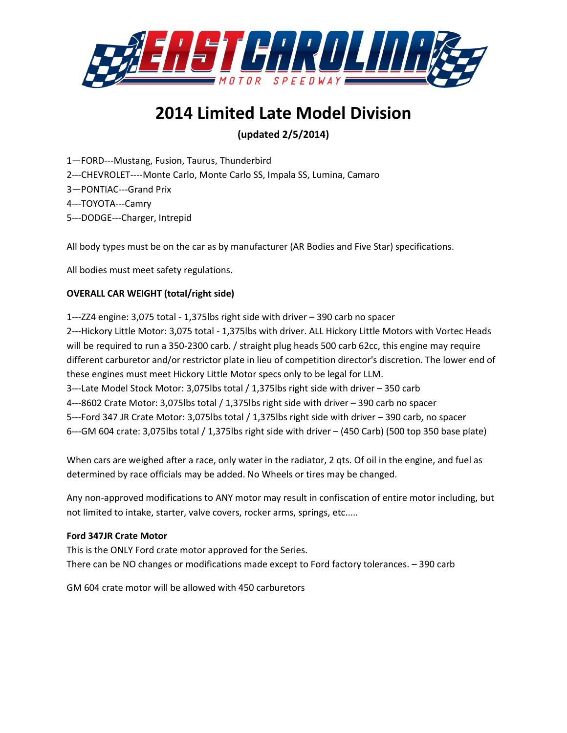

# **2014 Limited Late Model Division**

# **(updated 2/5/2014)**

1—FORD---Mustang, Fusion, Taurus, Thunderbird 2---CHEVROLET----Monte Carlo, Monte Carlo SS, Impala SS, Lumina, Camaro 3—PONTIAC---Grand Prix 4---TOYOTA---Camry 5---DODGE---Charger, Intrepid

All body types must be on the car as by manufacturer (AR Bodies and Five Star) specifications.

All bodies must meet safety regulations.

# **OVERALL CAR WEIGHT (total/right side)**

1---ZZ4 engine: 3,075 total - 1,375lbs right side with driver – 390 carb no spacer 2---Hickory Little Motor: 3,075 total - 1,375lbs with driver. ALL Hickory Little Motors with Vortec Heads will be required to run a 350-2300 carb. / straight plug heads 500 carb 62cc, this engine may require different carburetor and/or restrictor plate in lieu of competition director's discretion. The lower end of these engines must meet Hickory Little Motor specs only to be legal for LLM. 3---Late Model Stock Motor: 3,075lbs total / 1,375lbs right side with driver – 350 carb 4---8602 Crate Motor: 3,075lbs total / 1,375lbs right side with driver – 390 carb no spacer 5---Ford 347 JR Crate Motor: 3,075lbs total / 1,375lbs right side with driver – 390 carb, no spacer 6---GM 604 crate: 3,075lbs total / 1,375lbs right side with driver – (450 Carb) (500 top 350 base plate)

When cars are weighed after a race, only water in the radiator, 2 qts. Of oil in the engine, and fuel as determined by race officials may be added. No Wheels or tires may be changed.

Any non-approved modifications to ANY motor may result in confiscation of entire motor including, but not limited to intake, starter, valve covers, rocker arms, springs, etc.....

# **Ford 347JR Crate Motor**

This is the ONLY Ford crate motor approved for the Series. There can be NO changes or modifications made except to Ford factory tolerances. – 390 carb

GM 604 crate motor will be allowed with 450 carburetors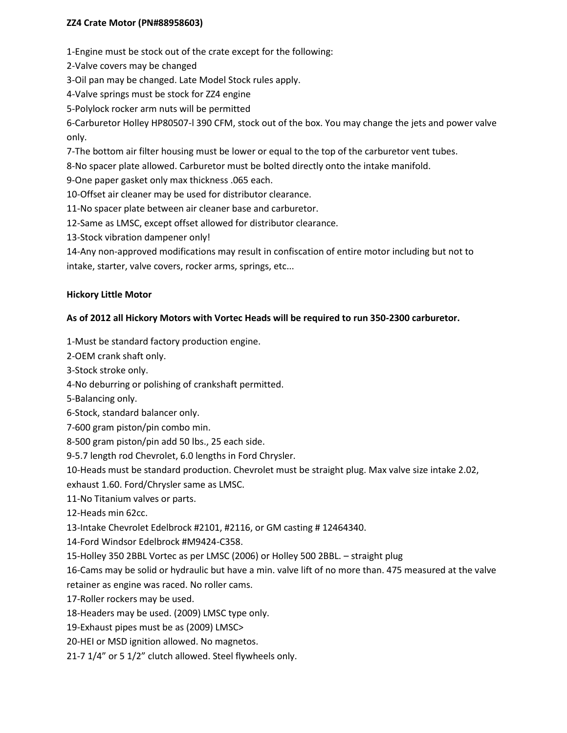# **ZZ4 Crate Motor (PN#88958603)**

1-Engine must be stock out of the crate except for the following:

- 2-Valve covers may be changed
- 3-Oil pan may be changed. Late Model Stock rules apply.
- 4-Valve springs must be stock for ZZ4 engine
- 5-Polylock rocker arm nuts will be permitted

6-Carburetor Holley HP80507-l 390 CFM, stock out of the box. You may change the jets and power valve only.

7-The bottom air filter housing must be lower or equal to the top of the carburetor vent tubes.

8-No spacer plate allowed. Carburetor must be bolted directly onto the intake manifold.

9-One paper gasket only max thickness .065 each.

- 10-Offset air cleaner may be used for distributor clearance.
- 11-No spacer plate between air cleaner base and carburetor.
- 12-Same as LMSC, except offset allowed for distributor clearance.
- 13-Stock vibration dampener only!
- 14-Any non-approved modifications may result in confiscation of entire motor including but not to intake, starter, valve covers, rocker arms, springs, etc...

#### **Hickory Little Motor**

#### **As of 2012 all Hickory Motors with Vortec Heads will be required to run 350-2300 carburetor.**

- 1-Must be standard factory production engine.
- 2-OEM crank shaft only.
- 3-Stock stroke only.
- 4-No deburring or polishing of crankshaft permitted.
- 5-Balancing only.
- 6-Stock, standard balancer only.
- 7-600 gram piston/pin combo min.
- 8-500 gram piston/pin add 50 lbs., 25 each side.
- 9-5.7 length rod Chevrolet, 6.0 lengths in Ford Chrysler.
- 10-Heads must be standard production. Chevrolet must be straight plug. Max valve size intake 2.02,

exhaust 1.60. Ford/Chrysler same as LMSC.

11-No Titanium valves or parts.

- 12-Heads min 62cc.
- 13-Intake Chevrolet Edelbrock #2101, #2116, or GM casting # 12464340.
- 14-Ford Windsor Edelbrock #M9424-C358.

15-Holley 350 2BBL Vortec as per LMSC (2006) or Holley 500 2BBL. – straight plug

16-Cams may be solid or hydraulic but have a min. valve lift of no more than. 475 measured at the valve retainer as engine was raced. No roller cams.

17-Roller rockers may be used.

18-Headers may be used. (2009) LMSC type only.

19-Exhaust pipes must be as (2009) LMSC>

20-HEI or MSD ignition allowed. No magnetos.

21-7 1/4" or 5 1/2" clutch allowed. Steel flywheels only.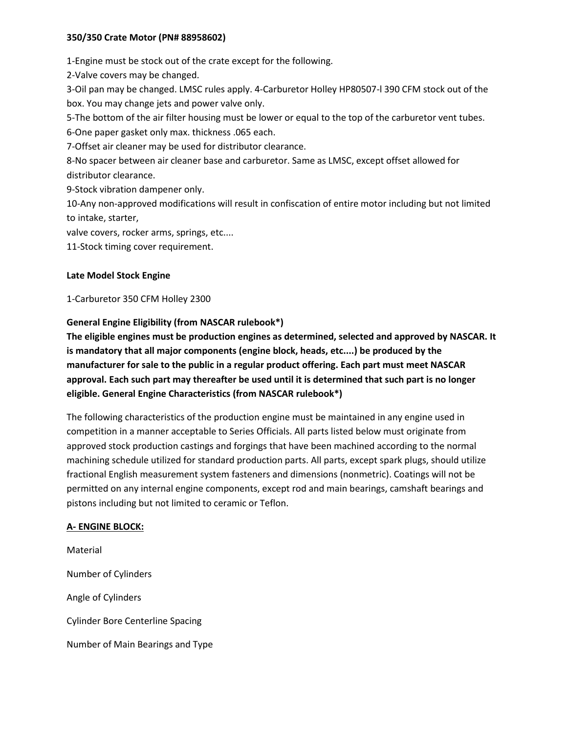#### **350/350 Crate Motor (PN# 88958602)**

1-Engine must be stock out of the crate except for the following.

2-Valve covers may be changed.

3-Oil pan may be changed. LMSC rules apply. 4-Carburetor Holley HP80507-l 390 CFM stock out of the box. You may change jets and power valve only.

5-The bottom of the air filter housing must be lower or equal to the top of the carburetor vent tubes.

6-One paper gasket only max. thickness .065 each.

7-Offset air cleaner may be used for distributor clearance.

8-No spacer between air cleaner base and carburetor. Same as LMSC, except offset allowed for distributor clearance.

9-Stock vibration dampener only.

10-Any non-approved modifications will result in confiscation of entire motor including but not limited to intake, starter,

valve covers, rocker arms, springs, etc....

11-Stock timing cover requirement.

## **Late Model Stock Engine**

1-Carburetor 350 CFM Holley 2300

## **General Engine Eligibility (from NASCAR rulebook\*)**

**The eligible engines must be production engines as determined, selected and approved by NASCAR. It is mandatory that all major components (engine block, heads, etc....) be produced by the manufacturer for sale to the public in a regular product offering. Each part must meet NASCAR approval. Each such part may thereafter be used until it is determined that such part is no longer eligible. General Engine Characteristics (from NASCAR rulebook\*)** 

The following characteristics of the production engine must be maintained in any engine used in competition in a manner acceptable to Series Officials. All parts listed below must originate from approved stock production castings and forgings that have been machined according to the normal machining schedule utilized for standard production parts. All parts, except spark plugs, should utilize fractional English measurement system fasteners and dimensions (nonmetric). Coatings will not be permitted on any internal engine components, except rod and main bearings, camshaft bearings and pistons including but not limited to ceramic or Teflon.

#### **A- ENGINE BLOCK:**

Material Number of Cylinders Angle of Cylinders Cylinder Bore Centerline Spacing Number of Main Bearings and Type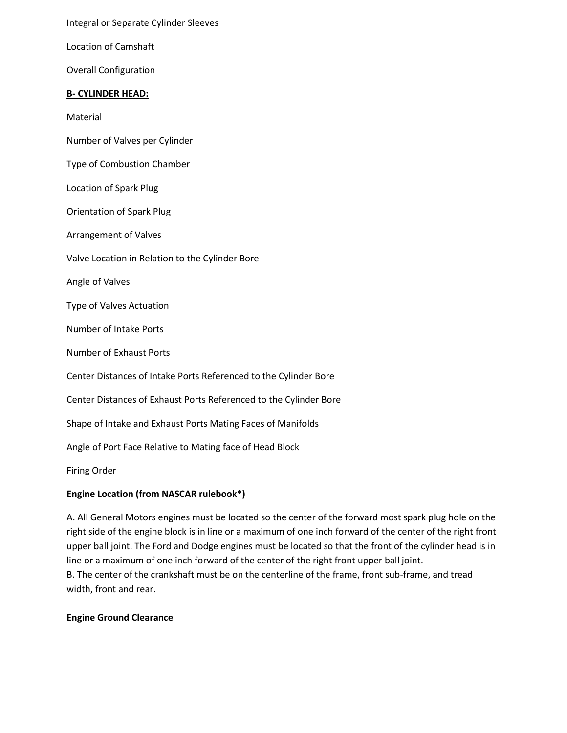Integral or Separate Cylinder Sleeves

Location of Camshaft

Overall Configuration

#### **B- CYLINDER HEAD:**

Material

- Number of Valves per Cylinder
- Type of Combustion Chamber
- Location of Spark Plug

Orientation of Spark Plug

Arrangement of Valves

Valve Location in Relation to the Cylinder Bore

Angle of Valves

Type of Valves Actuation

Number of Intake Ports

Number of Exhaust Ports

Center Distances of Intake Ports Referenced to the Cylinder Bore

Center Distances of Exhaust Ports Referenced to the Cylinder Bore

Shape of Intake and Exhaust Ports Mating Faces of Manifolds

Angle of Port Face Relative to Mating face of Head Block

Firing Order

#### **Engine Location (from NASCAR rulebook\*)**

A. All General Motors engines must be located so the center of the forward most spark plug hole on the right side of the engine block is in line or a maximum of one inch forward of the center of the right front upper ball joint. The Ford and Dodge engines must be located so that the front of the cylinder head is in line or a maximum of one inch forward of the center of the right front upper ball joint.

B. The center of the crankshaft must be on the centerline of the frame, front sub-frame, and tread width, front and rear.

#### **Engine Ground Clearance**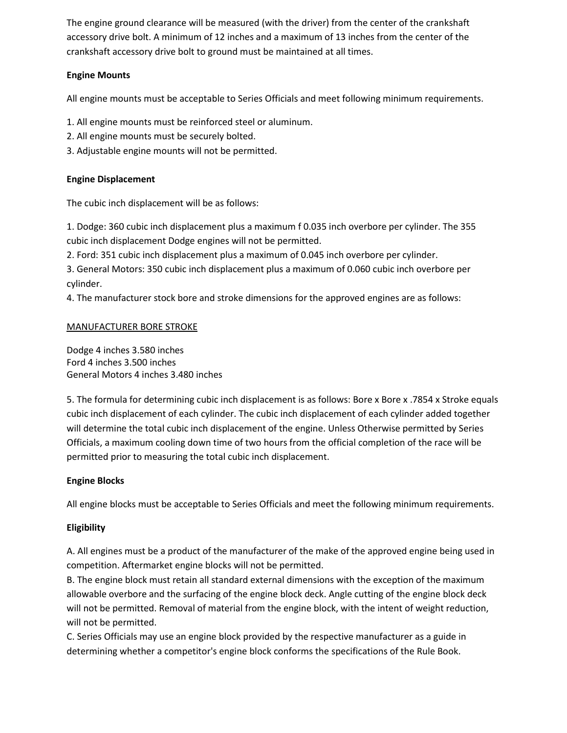The engine ground clearance will be measured (with the driver) from the center of the crankshaft accessory drive bolt. A minimum of 12 inches and a maximum of 13 inches from the center of the crankshaft accessory drive bolt to ground must be maintained at all times.

## **Engine Mounts**

All engine mounts must be acceptable to Series Officials and meet following minimum requirements.

1. All engine mounts must be reinforced steel or aluminum.

- 2. All engine mounts must be securely bolted.
- 3. Adjustable engine mounts will not be permitted.

#### **Engine Displacement**

The cubic inch displacement will be as follows:

1. Dodge: 360 cubic inch displacement plus a maximum f 0.035 inch overbore per cylinder. The 355 cubic inch displacement Dodge engines will not be permitted.

2. Ford: 351 cubic inch displacement plus a maximum of 0.045 inch overbore per cylinder.

3. General Motors: 350 cubic inch displacement plus a maximum of 0.060 cubic inch overbore per cylinder.

4. The manufacturer stock bore and stroke dimensions for the approved engines are as follows:

#### MANUFACTURER BORE STROKE

Dodge 4 inches 3.580 inches Ford 4 inches 3.500 inches General Motors 4 inches 3.480 inches

5. The formula for determining cubic inch displacement is as follows: Bore x Bore x .7854 x Stroke equals cubic inch displacement of each cylinder. The cubic inch displacement of each cylinder added together will determine the total cubic inch displacement of the engine. Unless Otherwise permitted by Series Officials, a maximum cooling down time of two hours from the official completion of the race will be permitted prior to measuring the total cubic inch displacement.

#### **Engine Blocks**

All engine blocks must be acceptable to Series Officials and meet the following minimum requirements.

#### **Eligibility**

A. All engines must be a product of the manufacturer of the make of the approved engine being used in competition. Aftermarket engine blocks will not be permitted.

B. The engine block must retain all standard external dimensions with the exception of the maximum allowable overbore and the surfacing of the engine block deck. Angle cutting of the engine block deck will not be permitted. Removal of material from the engine block, with the intent of weight reduction, will not be permitted.

C. Series Officials may use an engine block provided by the respective manufacturer as a guide in determining whether a competitor's engine block conforms the specifications of the Rule Book.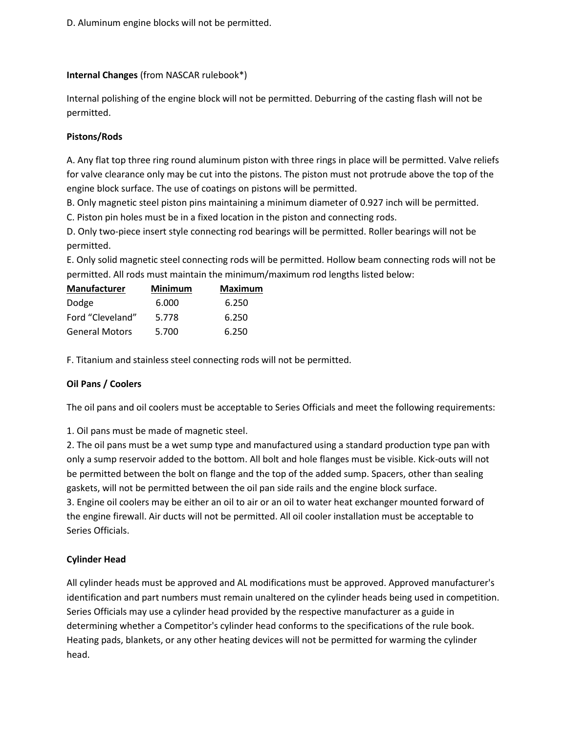D. Aluminum engine blocks will not be permitted.

#### **Internal Changes** (from NASCAR rulebook\*)

Internal polishing of the engine block will not be permitted. Deburring of the casting flash will not be permitted.

## **Pistons/Rods**

A. Any flat top three ring round aluminum piston with three rings in place will be permitted. Valve reliefs for valve clearance only may be cut into the pistons. The piston must not protrude above the top of the engine block surface. The use of coatings on pistons will be permitted.

B. Only magnetic steel piston pins maintaining a minimum diameter of 0.927 inch will be permitted.

C. Piston pin holes must be in a fixed location in the piston and connecting rods.

D. Only two-piece insert style connecting rod bearings will be permitted. Roller bearings will not be permitted.

E. Only solid magnetic steel connecting rods will be permitted. Hollow beam connecting rods will not be permitted. All rods must maintain the minimum/maximum rod lengths listed below:

| <b>Manufacturer</b>   | <b>Minimum</b> | <b>Maximum</b> |
|-----------------------|----------------|----------------|
| Dodge                 | 6.000          | 6.250          |
| Ford "Cleveland"      | 5.778          | 6.250          |
| <b>General Motors</b> | 5.700          | 6.250          |

F. Titanium and stainless steel connecting rods will not be permitted.

# **Oil Pans / Coolers**

The oil pans and oil coolers must be acceptable to Series Officials and meet the following requirements:

1. Oil pans must be made of magnetic steel.

2. The oil pans must be a wet sump type and manufactured using a standard production type pan with only a sump reservoir added to the bottom. All bolt and hole flanges must be visible. Kick-outs will not be permitted between the bolt on flange and the top of the added sump. Spacers, other than sealing gaskets, will not be permitted between the oil pan side rails and the engine block surface. 3. Engine oil coolers may be either an oil to air or an oil to water heat exchanger mounted forward of the engine firewall. Air ducts will not be permitted. All oil cooler installation must be acceptable to Series Officials.

# **Cylinder Head**

All cylinder heads must be approved and AL modifications must be approved. Approved manufacturer's identification and part numbers must remain unaltered on the cylinder heads being used in competition. Series Officials may use a cylinder head provided by the respective manufacturer as a guide in determining whether a Competitor's cylinder head conforms to the specifications of the rule book. Heating pads, blankets, or any other heating devices will not be permitted for warming the cylinder head.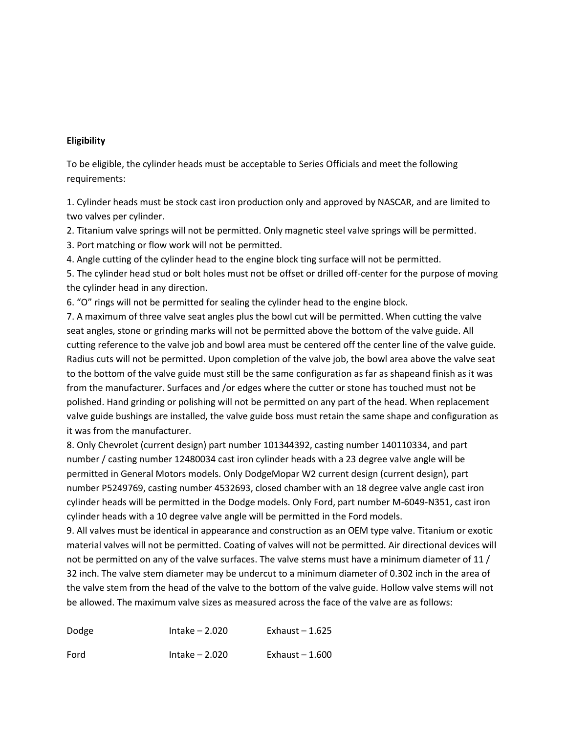#### **Eligibility**

To be eligible, the cylinder heads must be acceptable to Series Officials and meet the following requirements:

1. Cylinder heads must be stock cast iron production only and approved by NASCAR, and are limited to two valves per cylinder.

2. Titanium valve springs will not be permitted. Only magnetic steel valve springs will be permitted.

3. Port matching or flow work will not be permitted.

4. Angle cutting of the cylinder head to the engine block ting surface will not be permitted.

5. The cylinder head stud or bolt holes must not be offset or drilled off-center for the purpose of moving the cylinder head in any direction.

6. "O" rings will not be permitted for sealing the cylinder head to the engine block.

7. A maximum of three valve seat angles plus the bowl cut will be permitted. When cutting the valve seat angles, stone or grinding marks will not be permitted above the bottom of the valve guide. All cutting reference to the valve job and bowl area must be centered off the center line of the valve guide. Radius cuts will not be permitted. Upon completion of the valve job, the bowl area above the valve seat to the bottom of the valve guide must still be the same configuration as far as shapeand finish as it was from the manufacturer. Surfaces and /or edges where the cutter or stone has touched must not be polished. Hand grinding or polishing will not be permitted on any part of the head. When replacement valve guide bushings are installed, the valve guide boss must retain the same shape and configuration as it was from the manufacturer.

8. Only Chevrolet (current design) part number 101344392, casting number 140110334, and part number / casting number 12480034 cast iron cylinder heads with a 23 degree valve angle will be permitted in General Motors models. Only DodgeMopar W2 current design (current design), part number P5249769, casting number 4532693, closed chamber with an 18 degree valve angle cast iron cylinder heads will be permitted in the Dodge models. Only Ford, part number M-6049-N351, cast iron cylinder heads with a 10 degree valve angle will be permitted in the Ford models.

9. All valves must be identical in appearance and construction as an OEM type valve. Titanium or exotic material valves will not be permitted. Coating of valves will not be permitted. Air directional devices will not be permitted on any of the valve surfaces. The valve stems must have a minimum diameter of 11 / 32 inch. The valve stem diameter may be undercut to a minimum diameter of 0.302 inch in the area of the valve stem from the head of the valve to the bottom of the valve guide. Hollow valve stems will not be allowed. The maximum valve sizes as measured across the face of the valve are as follows:

| Dodge | Intake $-2.020$ | Exhaust $-1.625$ |
|-------|-----------------|------------------|
| Ford  | Intake $-2.020$ | Exhaust $-1.600$ |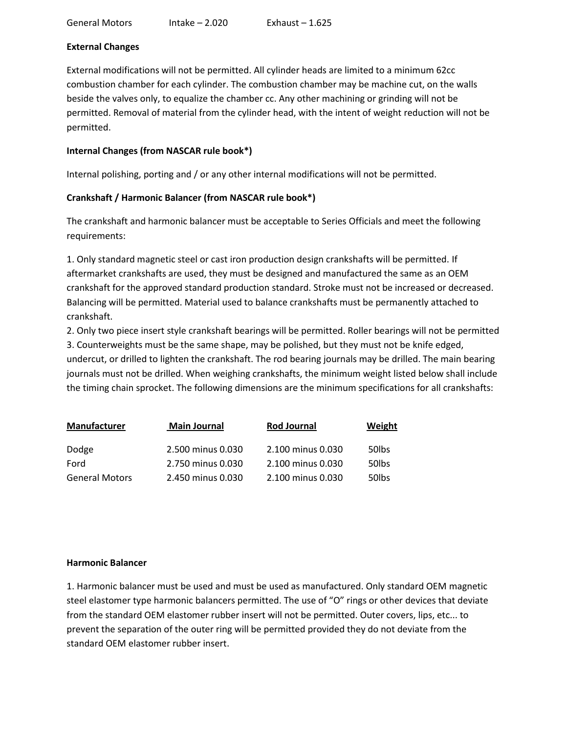## **External Changes**

External modifications will not be permitted. All cylinder heads are limited to a minimum 62cc combustion chamber for each cylinder. The combustion chamber may be machine cut, on the walls beside the valves only, to equalize the chamber cc. Any other machining or grinding will not be permitted. Removal of material from the cylinder head, with the intent of weight reduction will not be permitted.

## **Internal Changes (from NASCAR rule book\*)**

Internal polishing, porting and / or any other internal modifications will not be permitted.

# **Crankshaft / Harmonic Balancer (from NASCAR rule book\*)**

The crankshaft and harmonic balancer must be acceptable to Series Officials and meet the following requirements:

1. Only standard magnetic steel or cast iron production design crankshafts will be permitted. If aftermarket crankshafts are used, they must be designed and manufactured the same as an OEM crankshaft for the approved standard production standard. Stroke must not be increased or decreased. Balancing will be permitted. Material used to balance crankshafts must be permanently attached to crankshaft.

2. Only two piece insert style crankshaft bearings will be permitted. Roller bearings will not be permitted 3. Counterweights must be the same shape, may be polished, but they must not be knife edged, undercut, or drilled to lighten the crankshaft. The rod bearing journals may be drilled. The main bearing journals must not be drilled. When weighing crankshafts, the minimum weight listed below shall include the timing chain sprocket. The following dimensions are the minimum specifications for all crankshafts:

| Manufacturer          | <b>Main Journal</b> | Rod Journal       | Weight            |
|-----------------------|---------------------|-------------------|-------------------|
| Dodge                 | 2.500 minus 0.030   | 2.100 minus 0.030 | 50 <sub>lbs</sub> |
| Ford                  | 2.750 minus 0.030   | 2.100 minus 0.030 | 50 <sub>lbs</sub> |
| <b>General Motors</b> | 2.450 minus 0.030   | 2.100 minus 0.030 | 50 <sub>lbs</sub> |

#### **Harmonic Balancer**

1. Harmonic balancer must be used and must be used as manufactured. Only standard OEM magnetic steel elastomer type harmonic balancers permitted. The use of "O" rings or other devices that deviate from the standard OEM elastomer rubber insert will not be permitted. Outer covers, lips, etc... to prevent the separation of the outer ring will be permitted provided they do not deviate from the standard OEM elastomer rubber insert.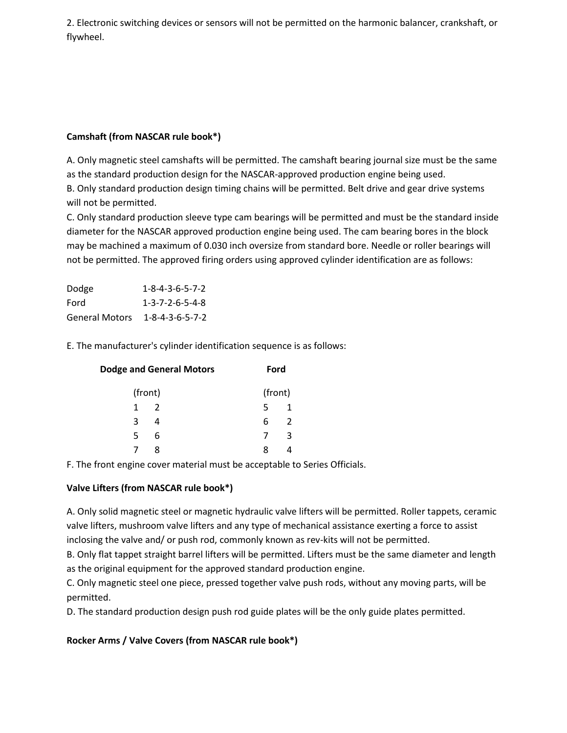2. Electronic switching devices or sensors will not be permitted on the harmonic balancer, crankshaft, or flywheel.

# **Camshaft (from NASCAR rule book\*)**

A. Only magnetic steel camshafts will be permitted. The camshaft bearing journal size must be the same as the standard production design for the NASCAR-approved production engine being used. B. Only standard production design timing chains will be permitted. Belt drive and gear drive systems

will not be permitted.

C. Only standard production sleeve type cam bearings will be permitted and must be the standard inside diameter for the NASCAR approved production engine being used. The cam bearing bores in the block may be machined a maximum of 0.030 inch oversize from standard bore. Needle or roller bearings will not be permitted. The approved firing orders using approved cylinder identification are as follows:

| Dodge                 | $1 - 8 - 4 - 3 - 6 - 5 - 7 - 2$ |
|-----------------------|---------------------------------|
| Ford                  | $1 - 3 - 7 - 2 - 6 - 5 - 4 - 8$ |
| <b>General Motors</b> | $1 - 8 - 4 - 3 - 6 - 5 - 7 - 2$ |

E. The manufacturer's cylinder identification sequence is as follows:

| <b>Dodge and General Motors</b> |                |         | Ford          |  |
|---------------------------------|----------------|---------|---------------|--|
|                                 | (front)        | (front) |               |  |
| 1                               | $\overline{2}$ | 5       |               |  |
| 3                               | $\overline{4}$ | 6       | $\mathcal{L}$ |  |
| 5                               | 6              |         | ર             |  |
|                                 | Ջ              | x       |               |  |

F. The front engine cover material must be acceptable to Series Officials.

# **Valve Lifters (from NASCAR rule book\*)**

A. Only solid magnetic steel or magnetic hydraulic valve lifters will be permitted. Roller tappets, ceramic valve lifters, mushroom valve lifters and any type of mechanical assistance exerting a force to assist inclosing the valve and/ or push rod, commonly known as rev-kits will not be permitted.

B. Only flat tappet straight barrel lifters will be permitted. Lifters must be the same diameter and length as the original equipment for the approved standard production engine.

C. Only magnetic steel one piece, pressed together valve push rods, without any moving parts, will be permitted.

D. The standard production design push rod guide plates will be the only guide plates permitted.

# **Rocker Arms / Valve Covers (from NASCAR rule book\*)**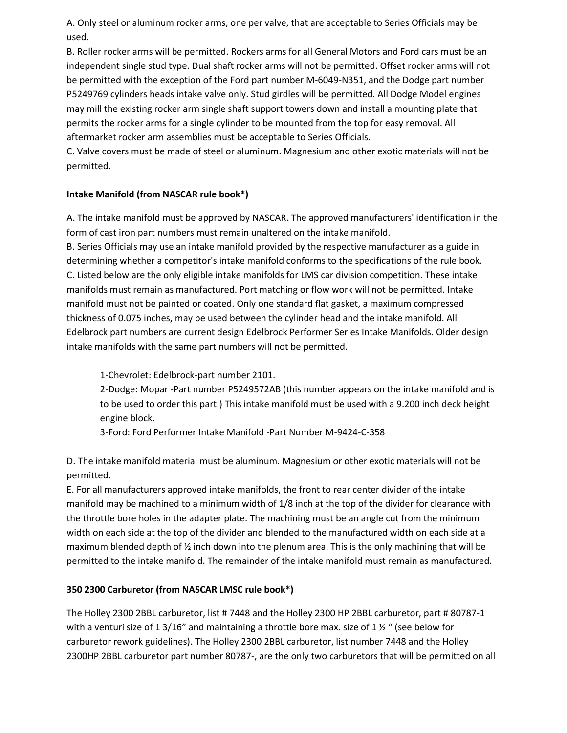A. Only steel or aluminum rocker arms, one per valve, that are acceptable to Series Officials may be used.

B. Roller rocker arms will be permitted. Rockers arms for all General Motors and Ford cars must be an independent single stud type. Dual shaft rocker arms will not be permitted. Offset rocker arms will not be permitted with the exception of the Ford part number M-6049-N351, and the Dodge part number P5249769 cylinders heads intake valve only. Stud girdles will be permitted. All Dodge Model engines may mill the existing rocker arm single shaft support towers down and install a mounting plate that permits the rocker arms for a single cylinder to be mounted from the top for easy removal. All aftermarket rocker arm assemblies must be acceptable to Series Officials.

C. Valve covers must be made of steel or aluminum. Magnesium and other exotic materials will not be permitted.

# **Intake Manifold (from NASCAR rule book\*)**

A. The intake manifold must be approved by NASCAR. The approved manufacturers' identification in the form of cast iron part numbers must remain unaltered on the intake manifold.

B. Series Officials may use an intake manifold provided by the respective manufacturer as a guide in determining whether a competitor's intake manifold conforms to the specifications of the rule book. C. Listed below are the only eligible intake manifolds for LMS car division competition. These intake manifolds must remain as manufactured. Port matching or flow work will not be permitted. Intake manifold must not be painted or coated. Only one standard flat gasket, a maximum compressed thickness of 0.075 inches, may be used between the cylinder head and the intake manifold. All Edelbrock part numbers are current design Edelbrock Performer Series Intake Manifolds. Older design intake manifolds with the same part numbers will not be permitted.

1-Chevrolet: Edelbrock-part number 2101.

2-Dodge: Mopar -Part number P5249572AB (this number appears on the intake manifold and is to be used to order this part.) This intake manifold must be used with a 9.200 inch deck height engine block.

3-Ford: Ford Performer Intake Manifold -Part Number M-9424-C-358

D. The intake manifold material must be aluminum. Magnesium or other exotic materials will not be permitted.

E. For all manufacturers approved intake manifolds, the front to rear center divider of the intake manifold may be machined to a minimum width of 1/8 inch at the top of the divider for clearance with the throttle bore holes in the adapter plate. The machining must be an angle cut from the minimum width on each side at the top of the divider and blended to the manufactured width on each side at a maximum blended depth of ½ inch down into the plenum area. This is the only machining that will be permitted to the intake manifold. The remainder of the intake manifold must remain as manufactured.

# **350 2300 Carburetor (from NASCAR LMSC rule book\*)**

The Holley 2300 2BBL carburetor, list # 7448 and the Holley 2300 HP 2BBL carburetor, part # 80787-1 with a venturi size of 1 3/16" and maintaining a throttle bore max. size of 1  $\frac{1}{2}$  " (see below for carburetor rework guidelines). The Holley 2300 2BBL carburetor, list number 7448 and the Holley 2300HP 2BBL carburetor part number 80787-, are the only two carburetors that will be permitted on all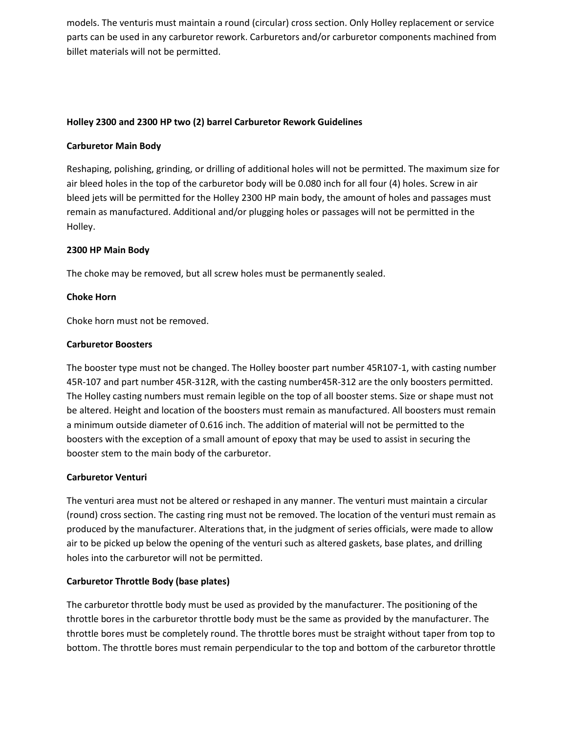models. The venturis must maintain a round (circular) cross section. Only Holley replacement or service parts can be used in any carburetor rework. Carburetors and/or carburetor components machined from billet materials will not be permitted.

#### **Holley 2300 and 2300 HP two (2) barrel Carburetor Rework Guidelines**

#### **Carburetor Main Body**

Reshaping, polishing, grinding, or drilling of additional holes will not be permitted. The maximum size for air bleed holes in the top of the carburetor body will be 0.080 inch for all four (4) holes. Screw in air bleed jets will be permitted for the Holley 2300 HP main body, the amount of holes and passages must remain as manufactured. Additional and/or plugging holes or passages will not be permitted in the Holley.

## **2300 HP Main Body**

The choke may be removed, but all screw holes must be permanently sealed.

## **Choke Horn**

Choke horn must not be removed.

#### **Carburetor Boosters**

The booster type must not be changed. The Holley booster part number 45R107-1, with casting number 45R-107 and part number 45R-312R, with the casting number45R-312 are the only boosters permitted. The Holley casting numbers must remain legible on the top of all booster stems. Size or shape must not be altered. Height and location of the boosters must remain as manufactured. All boosters must remain a minimum outside diameter of 0.616 inch. The addition of material will not be permitted to the boosters with the exception of a small amount of epoxy that may be used to assist in securing the booster stem to the main body of the carburetor.

#### **Carburetor Venturi**

The venturi area must not be altered or reshaped in any manner. The venturi must maintain a circular (round) cross section. The casting ring must not be removed. The location of the venturi must remain as produced by the manufacturer. Alterations that, in the judgment of series officials, were made to allow air to be picked up below the opening of the venturi such as altered gaskets, base plates, and drilling holes into the carburetor will not be permitted.

#### **Carburetor Throttle Body (base plates)**

The carburetor throttle body must be used as provided by the manufacturer. The positioning of the throttle bores in the carburetor throttle body must be the same as provided by the manufacturer. The throttle bores must be completely round. The throttle bores must be straight without taper from top to bottom. The throttle bores must remain perpendicular to the top and bottom of the carburetor throttle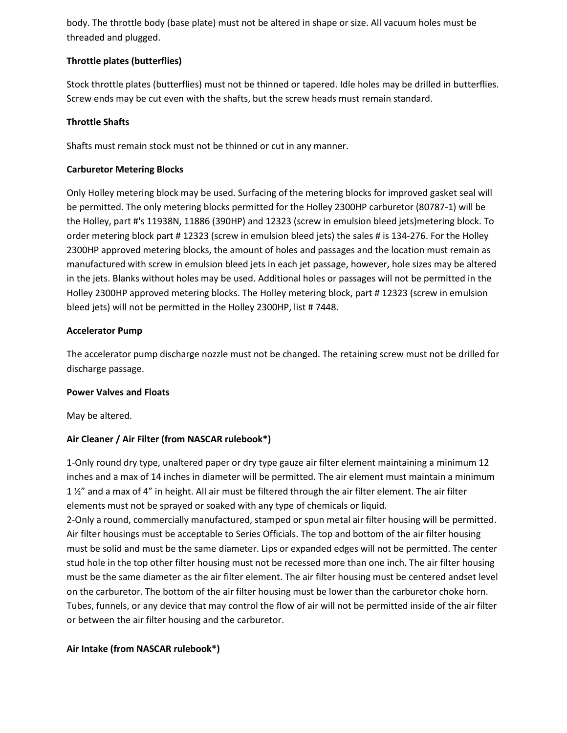body. The throttle body (base plate) must not be altered in shape or size. All vacuum holes must be threaded and plugged.

# **Throttle plates (butterflies)**

Stock throttle plates (butterflies) must not be thinned or tapered. Idle holes may be drilled in butterflies. Screw ends may be cut even with the shafts, but the screw heads must remain standard.

# **Throttle Shafts**

Shafts must remain stock must not be thinned or cut in any manner.

# **Carburetor Metering Blocks**

Only Holley metering block may be used. Surfacing of the metering blocks for improved gasket seal will be permitted. The only metering blocks permitted for the Holley 2300HP carburetor (80787-1) will be the Holley, part #'s 11938N, 11886 (390HP) and 12323 (screw in emulsion bleed jets)metering block. To order metering block part # 12323 (screw in emulsion bleed jets) the sales # is 134-276. For the Holley 2300HP approved metering blocks, the amount of holes and passages and the location must remain as manufactured with screw in emulsion bleed jets in each jet passage, however, hole sizes may be altered in the jets. Blanks without holes may be used. Additional holes or passages will not be permitted in the Holley 2300HP approved metering blocks. The Holley metering block, part # 12323 (screw in emulsion bleed jets) will not be permitted in the Holley 2300HP, list # 7448.

# **Accelerator Pump**

The accelerator pump discharge nozzle must not be changed. The retaining screw must not be drilled for discharge passage.

# **Power Valves and Floats**

May be altered.

# **Air Cleaner / Air Filter (from NASCAR rulebook\*)**

1-Only round dry type, unaltered paper or dry type gauze air filter element maintaining a minimum 12 inches and a max of 14 inches in diameter will be permitted. The air element must maintain a minimum 1 ½" and a max of 4" in height. All air must be filtered through the air filter element. The air filter elements must not be sprayed or soaked with any type of chemicals or liquid.

2-Only a round, commercially manufactured, stamped or spun metal air filter housing will be permitted. Air filter housings must be acceptable to Series Officials. The top and bottom of the air filter housing must be solid and must be the same diameter. Lips or expanded edges will not be permitted. The center stud hole in the top other filter housing must not be recessed more than one inch. The air filter housing must be the same diameter as the air filter element. The air filter housing must be centered andset level on the carburetor. The bottom of the air filter housing must be lower than the carburetor choke horn. Tubes, funnels, or any device that may control the flow of air will not be permitted inside of the air filter or between the air filter housing and the carburetor.

# **Air Intake (from NASCAR rulebook\*)**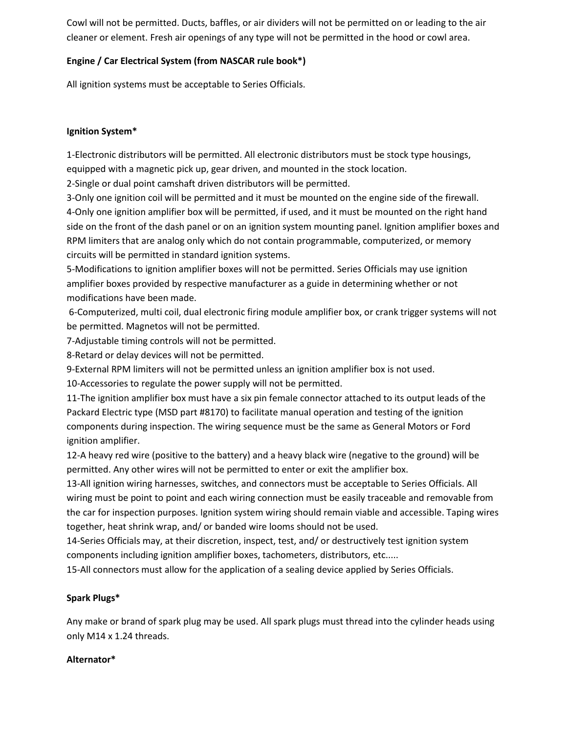Cowl will not be permitted. Ducts, baffles, or air dividers will not be permitted on or leading to the air cleaner or element. Fresh air openings of any type will not be permitted in the hood or cowl area.

# **Engine / Car Electrical System (from NASCAR rule book\*)**

All ignition systems must be acceptable to Series Officials.

# **Ignition System\***

1-Electronic distributors will be permitted. All electronic distributors must be stock type housings, equipped with a magnetic pick up, gear driven, and mounted in the stock location.

2-Single or dual point camshaft driven distributors will be permitted.

3-Only one ignition coil will be permitted and it must be mounted on the engine side of the firewall. 4-Only one ignition amplifier box will be permitted, if used, and it must be mounted on the right hand side on the front of the dash panel or on an ignition system mounting panel. Ignition amplifier boxes and RPM limiters that are analog only which do not contain programmable, computerized, or memory circuits will be permitted in standard ignition systems.

5-Modifications to ignition amplifier boxes will not be permitted. Series Officials may use ignition amplifier boxes provided by respective manufacturer as a guide in determining whether or not modifications have been made.

6-Computerized, multi coil, dual electronic firing module amplifier box, or crank trigger systems will not be permitted. Magnetos will not be permitted.

7-Adjustable timing controls will not be permitted.

8-Retard or delay devices will not be permitted.

9-External RPM limiters will not be permitted unless an ignition amplifier box is not used.

10-Accessories to regulate the power supply will not be permitted.

11-The ignition amplifier box must have a six pin female connector attached to its output leads of the Packard Electric type (MSD part #8170) to facilitate manual operation and testing of the ignition components during inspection. The wiring sequence must be the same as General Motors or Ford ignition amplifier.

12-A heavy red wire (positive to the battery) and a heavy black wire (negative to the ground) will be permitted. Any other wires will not be permitted to enter or exit the amplifier box.

13-All ignition wiring harnesses, switches, and connectors must be acceptable to Series Officials. All wiring must be point to point and each wiring connection must be easily traceable and removable from the car for inspection purposes. Ignition system wiring should remain viable and accessible. Taping wires together, heat shrink wrap, and/ or banded wire looms should not be used.

14-Series Officials may, at their discretion, inspect, test, and/ or destructively test ignition system components including ignition amplifier boxes, tachometers, distributors, etc.....

15-All connectors must allow for the application of a sealing device applied by Series Officials.

# **Spark Plugs\***

Any make or brand of spark plug may be used. All spark plugs must thread into the cylinder heads using only M14 x 1.24 threads.

# **Alternator\***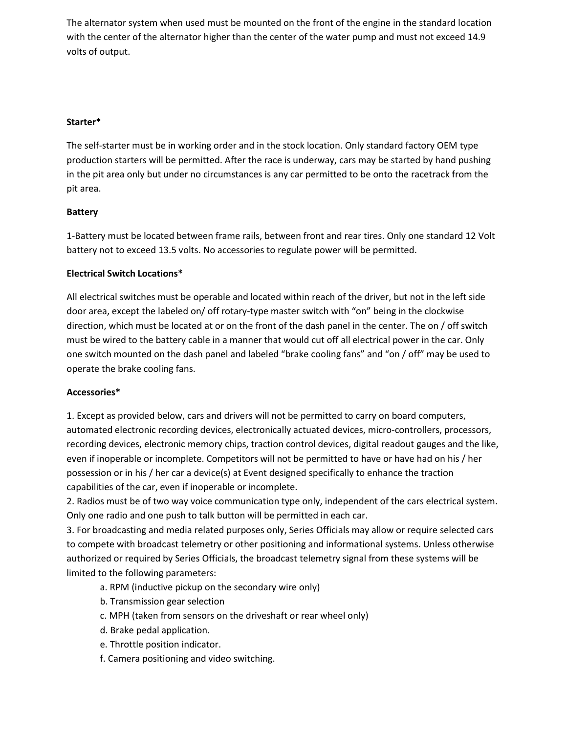The alternator system when used must be mounted on the front of the engine in the standard location with the center of the alternator higher than the center of the water pump and must not exceed 14.9 volts of output.

## **Starter\***

The self-starter must be in working order and in the stock location. Only standard factory OEM type production starters will be permitted. After the race is underway, cars may be started by hand pushing in the pit area only but under no circumstances is any car permitted to be onto the racetrack from the pit area.

## **Battery**

1-Battery must be located between frame rails, between front and rear tires. Only one standard 12 Volt battery not to exceed 13.5 volts. No accessories to regulate power will be permitted.

## **Electrical Switch Locations\***

All electrical switches must be operable and located within reach of the driver, but not in the left side door area, except the labeled on/ off rotary-type master switch with "on" being in the clockwise direction, which must be located at or on the front of the dash panel in the center. The on / off switch must be wired to the battery cable in a manner that would cut off all electrical power in the car. Only one switch mounted on the dash panel and labeled "brake cooling fans" and "on / off" may be used to operate the brake cooling fans.

#### **Accessories\***

1. Except as provided below, cars and drivers will not be permitted to carry on board computers, automated electronic recording devices, electronically actuated devices, micro-controllers, processors, recording devices, electronic memory chips, traction control devices, digital readout gauges and the like, even if inoperable or incomplete. Competitors will not be permitted to have or have had on his / her possession or in his / her car a device(s) at Event designed specifically to enhance the traction capabilities of the car, even if inoperable or incomplete.

2. Radios must be of two way voice communication type only, independent of the cars electrical system. Only one radio and one push to talk button will be permitted in each car.

3. For broadcasting and media related purposes only, Series Officials may allow or require selected cars to compete with broadcast telemetry or other positioning and informational systems. Unless otherwise authorized or required by Series Officials, the broadcast telemetry signal from these systems will be limited to the following parameters:

- a. RPM (inductive pickup on the secondary wire only)
- b. Transmission gear selection
- c. MPH (taken from sensors on the driveshaft or rear wheel only)
- d. Brake pedal application.
- e. Throttle position indicator.
- f. Camera positioning and video switching.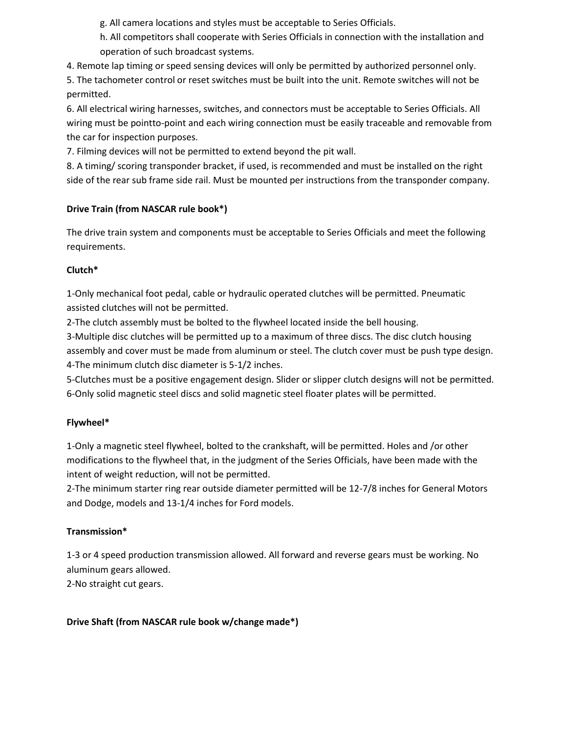g. All camera locations and styles must be acceptable to Series Officials.

h. All competitors shall cooperate with Series Officials in connection with the installation and operation of such broadcast systems.

4. Remote lap timing or speed sensing devices will only be permitted by authorized personnel only.

5. The tachometer control or reset switches must be built into the unit. Remote switches will not be permitted.

6. All electrical wiring harnesses, switches, and connectors must be acceptable to Series Officials. All wiring must be pointto-point and each wiring connection must be easily traceable and removable from the car for inspection purposes.

7. Filming devices will not be permitted to extend beyond the pit wall.

8. A timing/ scoring transponder bracket, if used, is recommended and must be installed on the right side of the rear sub frame side rail. Must be mounted per instructions from the transponder company.

# **Drive Train (from NASCAR rule book\*)**

The drive train system and components must be acceptable to Series Officials and meet the following requirements.

# **Clutch\***

1-Only mechanical foot pedal, cable or hydraulic operated clutches will be permitted. Pneumatic assisted clutches will not be permitted.

2-The clutch assembly must be bolted to the flywheel located inside the bell housing.

3-Multiple disc clutches will be permitted up to a maximum of three discs. The disc clutch housing assembly and cover must be made from aluminum or steel. The clutch cover must be push type design. 4-The minimum clutch disc diameter is 5-1/2 inches.

5-Clutches must be a positive engagement design. Slider or slipper clutch designs will not be permitted. 6-Only solid magnetic steel discs and solid magnetic steel floater plates will be permitted.

# **Flywheel\***

1-Only a magnetic steel flywheel, bolted to the crankshaft, will be permitted. Holes and /or other modifications to the flywheel that, in the judgment of the Series Officials, have been made with the intent of weight reduction, will not be permitted.

2-The minimum starter ring rear outside diameter permitted will be 12-7/8 inches for General Motors and Dodge, models and 13-1/4 inches for Ford models.

# **Transmission\***

1-3 or 4 speed production transmission allowed. All forward and reverse gears must be working. No aluminum gears allowed.

2-No straight cut gears.

# **Drive Shaft (from NASCAR rule book w/change made\*)**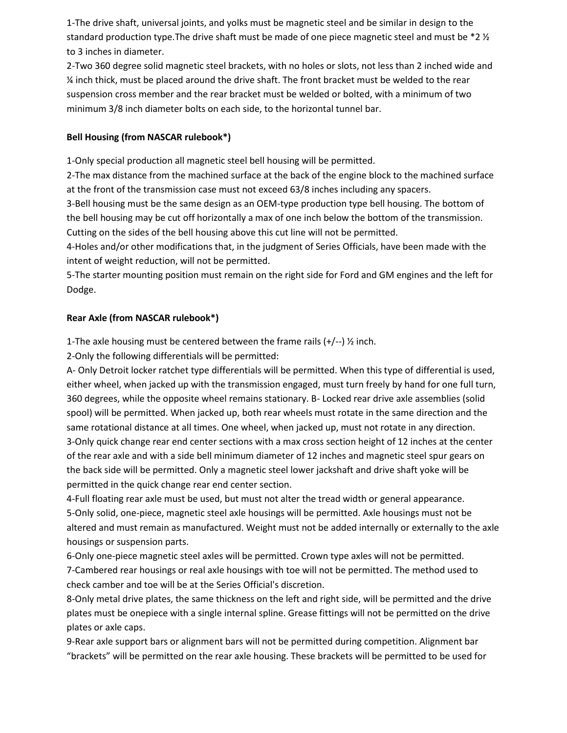1-The drive shaft, universal joints, and yolks must be magnetic steel and be similar in design to the standard production type. The drive shaft must be made of one piece magnetic steel and must be  $*2\frac{1}{2}$ to 3 inches in diameter.

2-Two 360 degree solid magnetic steel brackets, with no holes or slots, not less than 2 inched wide and ¼ inch thick, must be placed around the drive shaft. The front bracket must be welded to the rear suspension cross member and the rear bracket must be welded or bolted, with a minimum of two minimum 3/8 inch diameter bolts on each side, to the horizontal tunnel bar.

# **Bell Housing (from NASCAR rulebook\*)**

1-Only special production all magnetic steel bell housing will be permitted.

2-The max distance from the machined surface at the back of the engine block to the machined surface at the front of the transmission case must not exceed 63/8 inches including any spacers.

3-Bell housing must be the same design as an OEM-type production type bell housing. The bottom of the bell housing may be cut off horizontally a max of one inch below the bottom of the transmission. Cutting on the sides of the bell housing above this cut line will not be permitted.

4-Holes and/or other modifications that, in the judgment of Series Officials, have been made with the intent of weight reduction, will not be permitted.

5-The starter mounting position must remain on the right side for Ford and GM engines and the left for Dodge.

# **Rear Axle (from NASCAR rulebook\*)**

1-The axle housing must be centered between the frame rails  $(+/-)$  % inch.

2-Only the following differentials will be permitted:

A- Only Detroit locker ratchet type differentials will be permitted. When this type of differential is used, either wheel, when jacked up with the transmission engaged, must turn freely by hand for one full turn, 360 degrees, while the opposite wheel remains stationary. B- Locked rear drive axle assemblies (solid spool) will be permitted. When jacked up, both rear wheels must rotate in the same direction and the same rotational distance at all times. One wheel, when jacked up, must not rotate in any direction. 3-Only quick change rear end center sections with a max cross section height of 12 inches at the center of the rear axle and with a side bell minimum diameter of 12 inches and magnetic steel spur gears on the back side will be permitted. Only a magnetic steel lower jackshaft and drive shaft yoke will be permitted in the quick change rear end center section.

4-Full floating rear axle must be used, but must not alter the tread width or general appearance. 5-Only solid, one-piece, magnetic steel axle housings will be permitted. Axle housings must not be altered and must remain as manufactured. Weight must not be added internally or externally to the axle housings or suspension parts.

6-Only one-piece magnetic steel axles will be permitted. Crown type axles will not be permitted. 7-Cambered rear housings or real axle housings with toe will not be permitted. The method used to check camber and toe will be at the Series Official's discretion.

8-Only metal drive plates, the same thickness on the left and right side, will be permitted and the drive plates must be onepiece with a single internal spline. Grease fittings will not be permitted on the drive plates or axle caps.

9-Rear axle support bars or alignment bars will not be permitted during competition. Alignment bar "brackets" will be permitted on the rear axle housing. These brackets will be permitted to be used for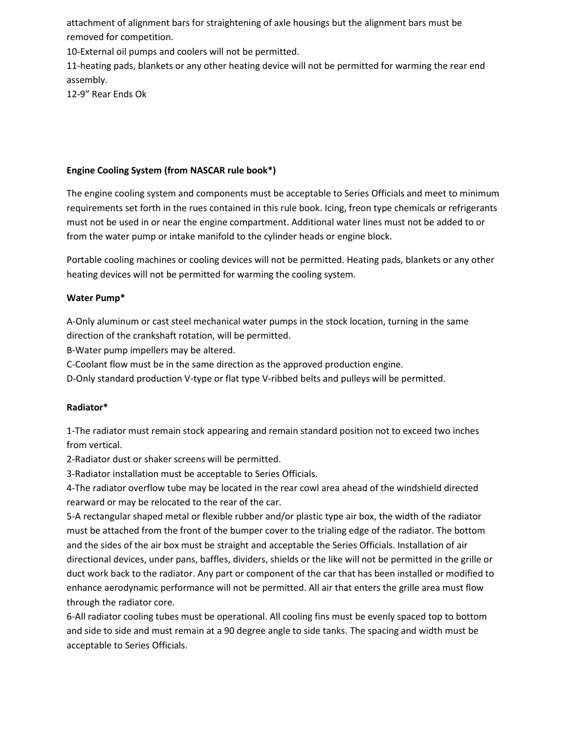attachment of alignment bars for straightening of axle housings but the alignment bars must be removed for competition.

10-External oil pumps and coolers will not be permitted.

11-heating pads, blankets or any other heating device will not be permitted for warming the rear end assembly.

12-9" Rear Ends Ok

# **Engine Cooling System (from NASCAR rule book\*)**

The engine cooling system and components must be acceptable to Series Officials and meet to minimum requirements set forth in the rues contained in this rule book. Icing, freon type chemicals or refrigerants must not be used in or near the engine compartment. Additional water lines must not be added to or from the water pump or intake manifold to the cylinder heads or engine block.

Portable cooling machines or cooling devices will not be permitted. Heating pads, blankets or any other heating devices will not be permitted for warming the cooling system.

# **Water Pump\***

A-Only aluminum or cast steel mechanical water pumps in the stock location, turning in the same direction of the crankshaft rotation, will be permitted.

B-Water pump impellers may be altered.

C-Coolant flow must be in the same direction as the approved production engine.

D-Only standard production V-type or flat type V-ribbed belts and pulleys will be permitted.

# **Radiator\***

1-The radiator must remain stock appearing and remain standard position not to exceed two inches from vertical.

2-Radiator dust or shaker screens will be permitted.

3-Radiator installation must be acceptable to Series Officials.

4-The radiator overflow tube may be located in the rear cowl area ahead of the windshield directed rearward or may be relocated to the rear of the car.

5-A rectangular shaped metal or flexible rubber and/or plastic type air box, the width of the radiator must be attached from the front of the bumper cover to the trialing edge of the radiator. The bottom and the sides of the air box must be straight and acceptable the Series Officials. Installation of air directional devices, under pans, baffles, dividers, shields or the like will not be permitted in the grille or duct work back to the radiator. Any part or component of the car that has been installed or modified to enhance aerodynamic performance will not be permitted. All air that enters the grille area must flow through the radiator core.

6-All radiator cooling tubes must be operational. All cooling fins must be evenly spaced top to bottom and side to side and must remain at a 90 degree angle to side tanks. The spacing and width must be acceptable to Series Officials.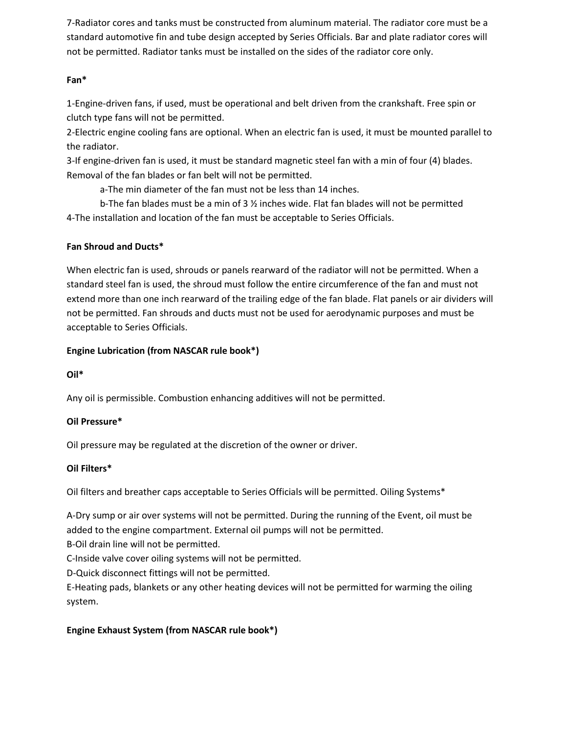7-Radiator cores and tanks must be constructed from aluminum material. The radiator core must be a standard automotive fin and tube design accepted by Series Officials. Bar and plate radiator cores will not be permitted. Radiator tanks must be installed on the sides of the radiator core only.

# **Fan\***

1-Engine-driven fans, if used, must be operational and belt driven from the crankshaft. Free spin or clutch type fans will not be permitted.

2-Electric engine cooling fans are optional. When an electric fan is used, it must be mounted parallel to the radiator.

3-If engine-driven fan is used, it must be standard magnetic steel fan with a min of four (4) blades. Removal of the fan blades or fan belt will not be permitted.

a-The min diameter of the fan must not be less than 14 inches.

b-The fan blades must be a min of 3 ½ inches wide. Flat fan blades will not be permitted 4-The installation and location of the fan must be acceptable to Series Officials.

# **Fan Shroud and Ducts\***

When electric fan is used, shrouds or panels rearward of the radiator will not be permitted. When a standard steel fan is used, the shroud must follow the entire circumference of the fan and must not extend more than one inch rearward of the trailing edge of the fan blade. Flat panels or air dividers will not be permitted. Fan shrouds and ducts must not be used for aerodynamic purposes and must be acceptable to Series Officials.

# **Engine Lubrication (from NASCAR rule book\*)**

# **Oil\***

Any oil is permissible. Combustion enhancing additives will not be permitted.

# **Oil Pressure\***

Oil pressure may be regulated at the discretion of the owner or driver.

# **Oil Filters\***

Oil filters and breather caps acceptable to Series Officials will be permitted. Oiling Systems\*

A-Dry sump or air over systems will not be permitted. During the running of the Event, oil must be added to the engine compartment. External oil pumps will not be permitted.

B-Oil drain line will not be permitted.

C-Inside valve cover oiling systems will not be permitted.

D-Quick disconnect fittings will not be permitted.

E-Heating pads, blankets or any other heating devices will not be permitted for warming the oiling system.

# **Engine Exhaust System (from NASCAR rule book\*)**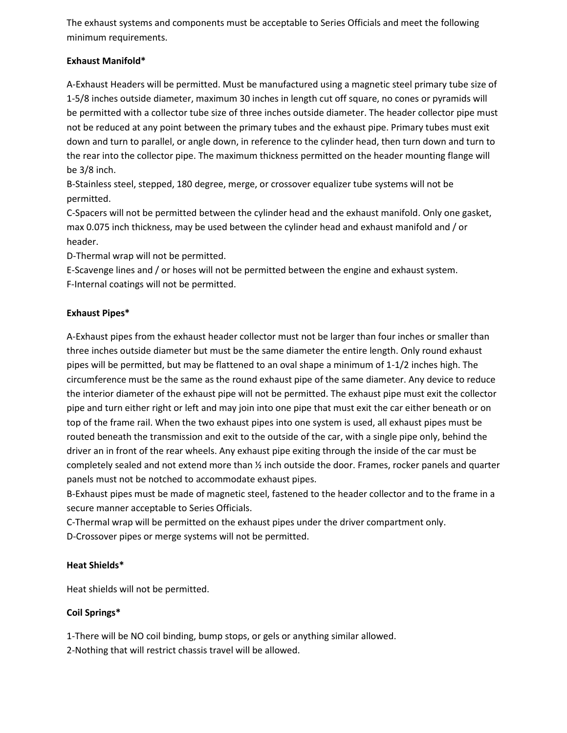The exhaust systems and components must be acceptable to Series Officials and meet the following minimum requirements.

# **Exhaust Manifold\***

A-Exhaust Headers will be permitted. Must be manufactured using a magnetic steel primary tube size of 1-5/8 inches outside diameter, maximum 30 inches in length cut off square, no cones or pyramids will be permitted with a collector tube size of three inches outside diameter. The header collector pipe must not be reduced at any point between the primary tubes and the exhaust pipe. Primary tubes must exit down and turn to parallel, or angle down, in reference to the cylinder head, then turn down and turn to the rear into the collector pipe. The maximum thickness permitted on the header mounting flange will be 3/8 inch.

B-Stainless steel, stepped, 180 degree, merge, or crossover equalizer tube systems will not be permitted.

C-Spacers will not be permitted between the cylinder head and the exhaust manifold. Only one gasket, max 0.075 inch thickness, may be used between the cylinder head and exhaust manifold and / or header.

D-Thermal wrap will not be permitted.

E-Scavenge lines and / or hoses will not be permitted between the engine and exhaust system. F-Internal coatings will not be permitted.

# **Exhaust Pipes\***

A-Exhaust pipes from the exhaust header collector must not be larger than four inches or smaller than three inches outside diameter but must be the same diameter the entire length. Only round exhaust pipes will be permitted, but may be flattened to an oval shape a minimum of 1-1/2 inches high. The circumference must be the same as the round exhaust pipe of the same diameter. Any device to reduce the interior diameter of the exhaust pipe will not be permitted. The exhaust pipe must exit the collector pipe and turn either right or left and may join into one pipe that must exit the car either beneath or on top of the frame rail. When the two exhaust pipes into one system is used, all exhaust pipes must be routed beneath the transmission and exit to the outside of the car, with a single pipe only, behind the driver an in front of the rear wheels. Any exhaust pipe exiting through the inside of the car must be completely sealed and not extend more than ½ inch outside the door. Frames, rocker panels and quarter panels must not be notched to accommodate exhaust pipes.

B-Exhaust pipes must be made of magnetic steel, fastened to the header collector and to the frame in a secure manner acceptable to Series Officials.

C-Thermal wrap will be permitted on the exhaust pipes under the driver compartment only. D-Crossover pipes or merge systems will not be permitted.

# **Heat Shields\***

Heat shields will not be permitted.

# **Coil Springs\***

1-There will be NO coil binding, bump stops, or gels or anything similar allowed.

2-Nothing that will restrict chassis travel will be allowed.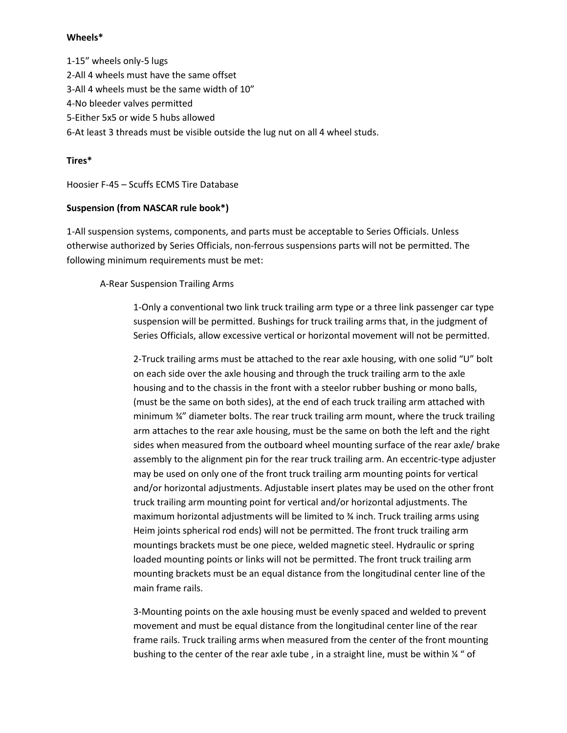#### **Wheels\***

1-15" wheels only-5 lugs 2-All 4 wheels must have the same offset 3-All 4 wheels must be the same width of 10" 4-No bleeder valves permitted 5-Either 5x5 or wide 5 hubs allowed 6-At least 3 threads must be visible outside the lug nut on all 4 wheel studs.

#### **Tires\***

Hoosier F-45 – Scuffs ECMS Tire Database

#### **Suspension (from NASCAR rule book\*)**

1-All suspension systems, components, and parts must be acceptable to Series Officials. Unless otherwise authorized by Series Officials, non-ferrous suspensions parts will not be permitted. The following minimum requirements must be met:

#### A-Rear Suspension Trailing Arms

1-Only a conventional two link truck trailing arm type or a three link passenger car type suspension will be permitted. Bushings for truck trailing arms that, in the judgment of Series Officials, allow excessive vertical or horizontal movement will not be permitted.

2-Truck trailing arms must be attached to the rear axle housing, with one solid "U" bolt on each side over the axle housing and through the truck trailing arm to the axle housing and to the chassis in the front with a steelor rubber bushing or mono balls, (must be the same on both sides), at the end of each truck trailing arm attached with minimum ¾" diameter bolts. The rear truck trailing arm mount, where the truck trailing arm attaches to the rear axle housing, must be the same on both the left and the right sides when measured from the outboard wheel mounting surface of the rear axle/ brake assembly to the alignment pin for the rear truck trailing arm. An eccentric-type adjuster may be used on only one of the front truck trailing arm mounting points for vertical and/or horizontal adjustments. Adjustable insert plates may be used on the other front truck trailing arm mounting point for vertical and/or horizontal adjustments. The maximum horizontal adjustments will be limited to ¾ inch. Truck trailing arms using Heim joints spherical rod ends) will not be permitted. The front truck trailing arm mountings brackets must be one piece, welded magnetic steel. Hydraulic or spring loaded mounting points or links will not be permitted. The front truck trailing arm mounting brackets must be an equal distance from the longitudinal center line of the main frame rails.

3-Mounting points on the axle housing must be evenly spaced and welded to prevent movement and must be equal distance from the longitudinal center line of the rear frame rails. Truck trailing arms when measured from the center of the front mounting bushing to the center of the rear axle tube, in a straight line, must be within  $\frac{1}{4}$  " of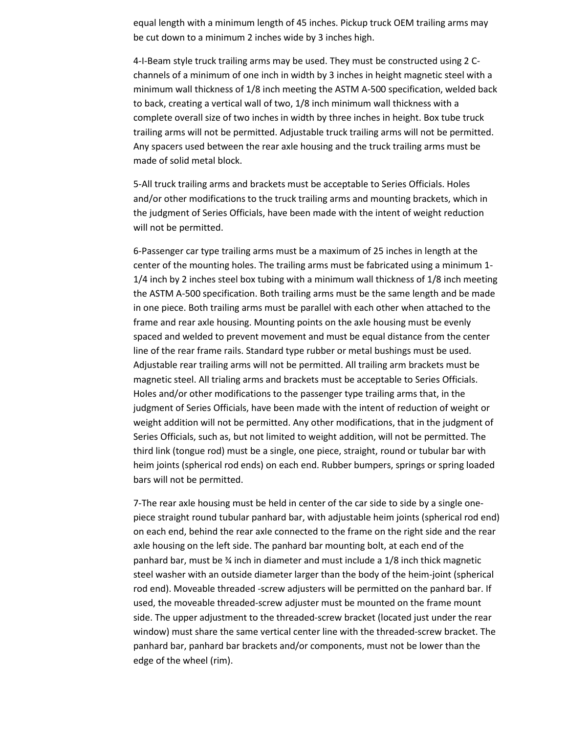equal length with a minimum length of 45 inches. Pickup truck OEM trailing arms may be cut down to a minimum 2 inches wide by 3 inches high.

4-I-Beam style truck trailing arms may be used. They must be constructed using 2 Cchannels of a minimum of one inch in width by 3 inches in height magnetic steel with a minimum wall thickness of 1/8 inch meeting the ASTM A-500 specification, welded back to back, creating a vertical wall of two, 1/8 inch minimum wall thickness with a complete overall size of two inches in width by three inches in height. Box tube truck trailing arms will not be permitted. Adjustable truck trailing arms will not be permitted. Any spacers used between the rear axle housing and the truck trailing arms must be made of solid metal block.

5-All truck trailing arms and brackets must be acceptable to Series Officials. Holes and/or other modifications to the truck trailing arms and mounting brackets, which in the judgment of Series Officials, have been made with the intent of weight reduction will not be permitted.

6-Passenger car type trailing arms must be a maximum of 25 inches in length at the center of the mounting holes. The trailing arms must be fabricated using a minimum 1- 1/4 inch by 2 inches steel box tubing with a minimum wall thickness of 1/8 inch meeting the ASTM A-500 specification. Both trailing arms must be the same length and be made in one piece. Both trailing arms must be parallel with each other when attached to the frame and rear axle housing. Mounting points on the axle housing must be evenly spaced and welded to prevent movement and must be equal distance from the center line of the rear frame rails. Standard type rubber or metal bushings must be used. Adjustable rear trailing arms will not be permitted. All trailing arm brackets must be magnetic steel. All trialing arms and brackets must be acceptable to Series Officials. Holes and/or other modifications to the passenger type trailing arms that, in the judgment of Series Officials, have been made with the intent of reduction of weight or weight addition will not be permitted. Any other modifications, that in the judgment of Series Officials, such as, but not limited to weight addition, will not be permitted. The third link (tongue rod) must be a single, one piece, straight, round or tubular bar with heim joints (spherical rod ends) on each end. Rubber bumpers, springs or spring loaded bars will not be permitted.

7-The rear axle housing must be held in center of the car side to side by a single onepiece straight round tubular panhard bar, with adjustable heim joints (spherical rod end) on each end, behind the rear axle connected to the frame on the right side and the rear axle housing on the left side. The panhard bar mounting bolt, at each end of the panhard bar, must be ¾ inch in diameter and must include a 1/8 inch thick magnetic steel washer with an outside diameter larger than the body of the heim-joint (spherical rod end). Moveable threaded -screw adjusters will be permitted on the panhard bar. If used, the moveable threaded-screw adjuster must be mounted on the frame mount side. The upper adjustment to the threaded-screw bracket (located just under the rear window) must share the same vertical center line with the threaded-screw bracket. The panhard bar, panhard bar brackets and/or components, must not be lower than the edge of the wheel (rim).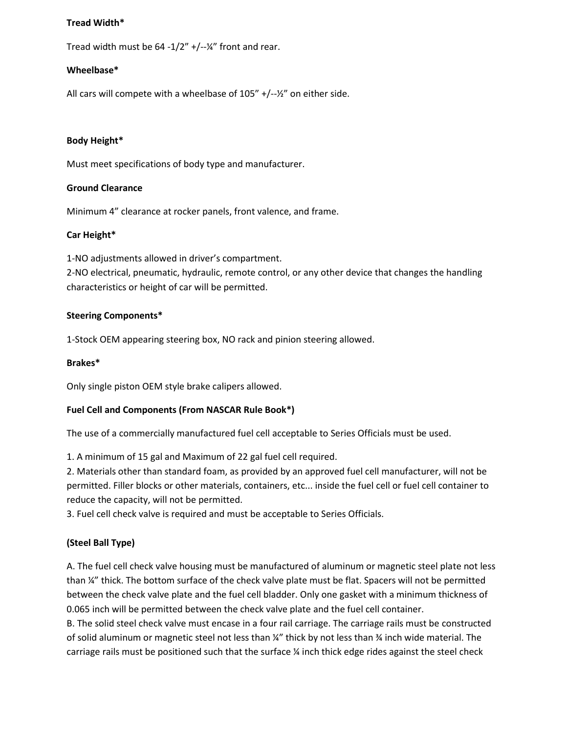#### **Tread Width\***

Tread width must be  $64 - 1/2'' + (-{1/2''})$  front and rear.

#### **Wheelbase\***

All cars will compete with a wheelbase of 105" +/--½" on either side.

#### **Body Height\***

Must meet specifications of body type and manufacturer.

#### **Ground Clearance**

Minimum 4" clearance at rocker panels, front valence, and frame.

#### **Car Height\***

1-NO adjustments allowed in driver's compartment.

2-NO electrical, pneumatic, hydraulic, remote control, or any other device that changes the handling characteristics or height of car will be permitted.

#### **Steering Components\***

1-Stock OEM appearing steering box, NO rack and pinion steering allowed.

#### **Brakes\***

Only single piston OEM style brake calipers allowed.

#### **Fuel Cell and Components (From NASCAR Rule Book\*)**

The use of a commercially manufactured fuel cell acceptable to Series Officials must be used.

1. A minimum of 15 gal and Maximum of 22 gal fuel cell required.

2. Materials other than standard foam, as provided by an approved fuel cell manufacturer, will not be permitted. Filler blocks or other materials, containers, etc... inside the fuel cell or fuel cell container to reduce the capacity, will not be permitted.

3. Fuel cell check valve is required and must be acceptable to Series Officials.

# **(Steel Ball Type)**

A. The fuel cell check valve housing must be manufactured of aluminum or magnetic steel plate not less than ¼" thick. The bottom surface of the check valve plate must be flat. Spacers will not be permitted between the check valve plate and the fuel cell bladder. Only one gasket with a minimum thickness of 0.065 inch will be permitted between the check valve plate and the fuel cell container.

B. The solid steel check valve must encase in a four rail carriage. The carriage rails must be constructed of solid aluminum or magnetic steel not less than ¼" thick by not less than ¾ inch wide material. The carriage rails must be positioned such that the surface ¼ inch thick edge rides against the steel check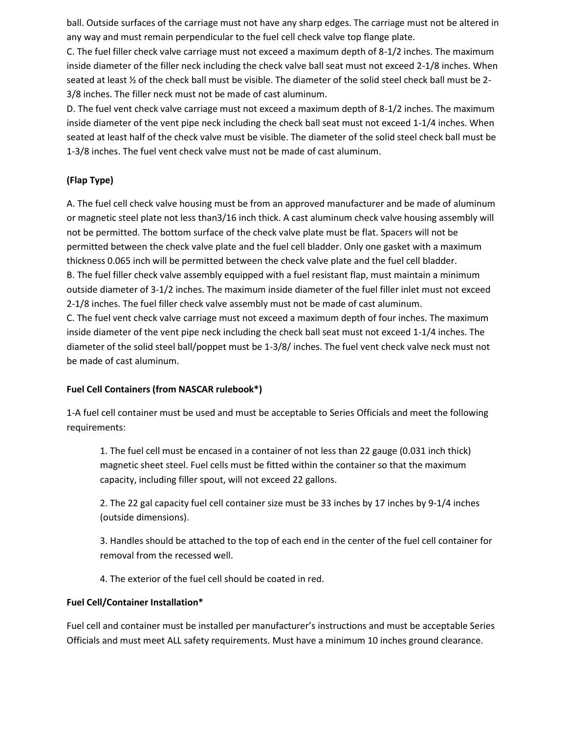ball. Outside surfaces of the carriage must not have any sharp edges. The carriage must not be altered in any way and must remain perpendicular to the fuel cell check valve top flange plate.

C. The fuel filler check valve carriage must not exceed a maximum depth of 8-1/2 inches. The maximum inside diameter of the filler neck including the check valve ball seat must not exceed 2-1/8 inches. When seated at least ½ of the check ball must be visible. The diameter of the solid steel check ball must be 2- 3/8 inches. The filler neck must not be made of cast aluminum.

D. The fuel vent check valve carriage must not exceed a maximum depth of 8-1/2 inches. The maximum inside diameter of the vent pipe neck including the check ball seat must not exceed 1-1/4 inches. When seated at least half of the check valve must be visible. The diameter of the solid steel check ball must be 1-3/8 inches. The fuel vent check valve must not be made of cast aluminum.

# **(Flap Type)**

A. The fuel cell check valve housing must be from an approved manufacturer and be made of aluminum or magnetic steel plate not less than3/16 inch thick. A cast aluminum check valve housing assembly will not be permitted. The bottom surface of the check valve plate must be flat. Spacers will not be permitted between the check valve plate and the fuel cell bladder. Only one gasket with a maximum thickness 0.065 inch will be permitted between the check valve plate and the fuel cell bladder. B. The fuel filler check valve assembly equipped with a fuel resistant flap, must maintain a minimum outside diameter of 3-1/2 inches. The maximum inside diameter of the fuel filler inlet must not exceed 2-1/8 inches. The fuel filler check valve assembly must not be made of cast aluminum.

C. The fuel vent check valve carriage must not exceed a maximum depth of four inches. The maximum inside diameter of the vent pipe neck including the check ball seat must not exceed 1-1/4 inches. The diameter of the solid steel ball/poppet must be 1-3/8/ inches. The fuel vent check valve neck must not be made of cast aluminum.

# **Fuel Cell Containers (from NASCAR rulebook\*)**

1-A fuel cell container must be used and must be acceptable to Series Officials and meet the following requirements:

1. The fuel cell must be encased in a container of not less than 22 gauge (0.031 inch thick) magnetic sheet steel. Fuel cells must be fitted within the container so that the maximum capacity, including filler spout, will not exceed 22 gallons.

2. The 22 gal capacity fuel cell container size must be 33 inches by 17 inches by 9-1/4 inches (outside dimensions).

3. Handles should be attached to the top of each end in the center of the fuel cell container for removal from the recessed well.

4. The exterior of the fuel cell should be coated in red.

#### **Fuel Cell/Container Installation\***

Fuel cell and container must be installed per manufacturer's instructions and must be acceptable Series Officials and must meet ALL safety requirements. Must have a minimum 10 inches ground clearance.